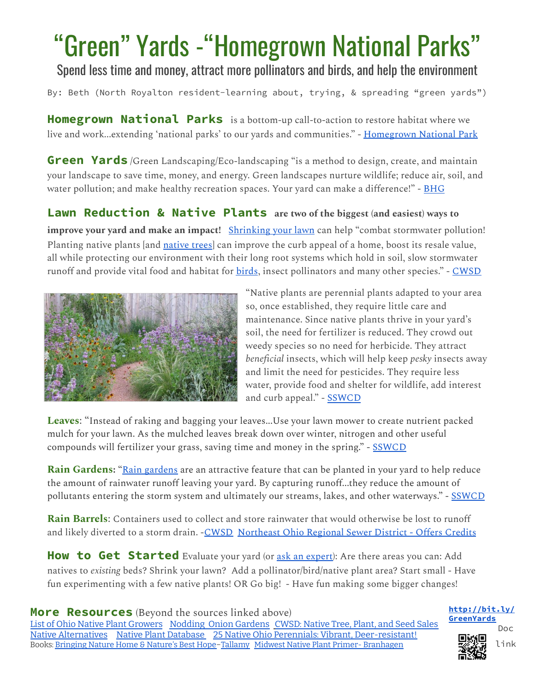# "Green" Yards -"Homegrown National Parks"

# Spend less time and money, attract more pollinators and birds, and help the environment

By: Beth (North Royalton resident-learning about, trying, & spreading "green yards")

**Homegrown National Parks** is a bottom-up call-to-action to restore habitat where we live and work...extending 'national parks' to our yards and communities." - [Homegrown](https://homegrownnationalpark.org/) National Park

**Green Yards** /Green Landscaping/Eco-landscaping "is a method to design, create, and maintain your landscape to save time, money, and energy. Green landscapes nurture wildlife; reduce air, soil, and water pollution; and make healthy recreation spaces. Your yard can make a difference!" - [BHG](https://www.bhg.com/gardening/landscaping-projects/landscape-basics/green-landscaping/)

# **Lawn Reduction & Native Plants are two of the biggest (and easiest) ways to**

**improve your yard and make an impact!** [Shrinking](https://www.nwf.org/-/media/PDFs/Garden-for-Wildlife/Gardening-Tips/Lawn-Reduction_web.ashx?la=en&hash=FAC102D0BDBBC0CCD97ECE01BB9A8E2F91E7C150) your lawn can help "combat stormwater pollution! Planting [native](https://www.holdenarb.org/community-engagement/best-native-trees-to-plant/) plants [and native trees] can improve the curb appeal of a home, boost its resale value, all while protecting our environment with their long root systems which hold in soil, slow stormwater runoff and provide vital food and habitat for **[birds](https://www.audubon.org/native-plants)**, insect pollinators and many other species." - [CWSD](https://www.cuyahogaswcd.org/programs/native-seed-plant-and-tree-sales)



"Native plants are perennial plants adapted to your area so, once established, they require little care and maintenance. Since native plants thrive in your yard's soil, the need for fertilizer is reduced. They crowd out weedy species so no need for herbicide. They attract *beneficial* insects, which will help keep *pesky* insects away and limit the need for pesticides. They require less water, provide food and shelter for wildlife, add interest and curb appeal." - [SSWCD](https://sswcd.summitoh.net/homeowner-assistance/backyard-conservation)

**Leaves**: "Instead of raking and bagging your leaves...Use your lawn mower to create nutrient packed mulch for your lawn. As the mulched leaves break down over winter, nitrogen and other useful compounds will fertilizer your grass, saving time and money in the spring." - [SSWCD](https://sswcd.summitoh.net/homeowner-assistance/backyard-conservation)

**Rain Gardens:** "Rain [gardens](https://static1.squarespace.com/static/52bb9733e4b09788115247ec/t/587506b737c58173a33708e6/1484064444453/manualRainGardenNPSNEO.pdf) are an attractive feature that can be planted in your yard to help reduce the amount of rainwater runoff leaving your yard. By capturing runoff...they reduce the amount of pollutants entering the storm system and ultimately our streams, lakes, and other waterways." - [SSWCD](https://sswcd.summitoh.net/homeowner-assistance/backyard-conservation)

**Rain Barrels**: Containers used to collect and store rainwater that would otherwise be lost to runoff and likely diverted to a storm drain. - [CWSD](https://www.cuyahogaswcd.org/files/assets/rainbarrelhandoutfinal.pdf) [Northeast](https://www.neorsd.org/I_Library.php?a=download_file&LIBRARY_RECORD_ID=4725) Ohio Regional Sewer District - Offers Credits

**How to Get Started** Evaluate your yard (or ask an [expert\)](https://www.cuyahogamg.org/index.html): Are there areas you can: Add natives to *existing* beds? Shrink your lawn? Add a pollinator/bird/native plant area? Start small - Have fun experimenting with a few native plants! OR Go big! - Have fun making some bigger changes!

**More Resources** (Beyond the sources linked above)

List of Ohio Native Plant [Growers](https://www.ohionativeplantmonth.org/native-plant-sources?fbclid=IwAR21goxk0k4jWVhPIkVQ3Eq1xj_QdP78cdqaX7i45aOTn5sDXccYeV3s-HU) [Nodding](http://www.noddingoniongardens.com) Onion Gardens [CWSD:](https://www.cuyahogaswcd.org/programs/native-seed-plant-and-tree-sales) Native Tree, Plant, and Seed Sales Native [Alternatives](https://nativeplantsocietyneo.squarespace.com/s/brochureNativePlantAlternativesCMNH.pdf) Native Plant [Database](https://www.audubon.org/native-plants) 25 Native Ohio Perennials: Vibrant, [Deer-resistant!](https://www.cleveland.com/metro/2017/05/native_ohio_perennials_abound.html) Books: [Bringing](https://bookshop.org/books?keywords=Douglas+tallamy+) Nature Home & Nature's Best Hope-[Tallamy](https://www.smithsonianmag.com/science-nature/meet-ecologist-who-wants-unleash-wild-backyard-180974372/) Midwest Native Plant Primer- [Branhagen](https://bookshop.org/books/the-midwest-native-plant-primer-225-plants-for-an-earth-friendly-garden/9781604699920)

#### **[http://bit.ly/](http://bit.ly/GreenYards) [GreenYards](http://bit.ly/GreenYards)** Doc